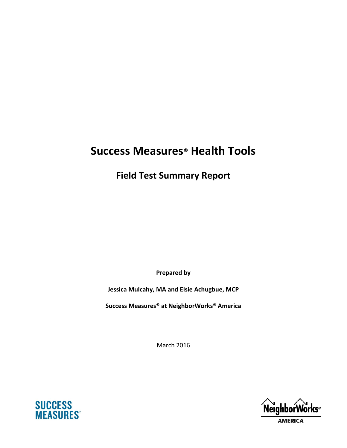# **Success Measures® Health Tools**

**Field Test Summary Report**

**Prepared by**

**Jessica Mulcahy, MA and Elsie Achugbue, MCP**

**Success Measures® at NeighborWorks® America**

March 2016





**AMERICA**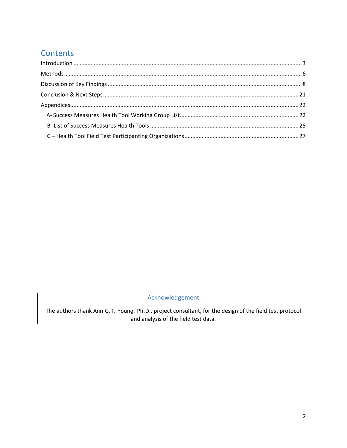## **Contents**

## Acknowledgement

The authors thank Ann G.T. Young, Ph.D., project consultant, for the design of the field test protocol and analysis of the field test data.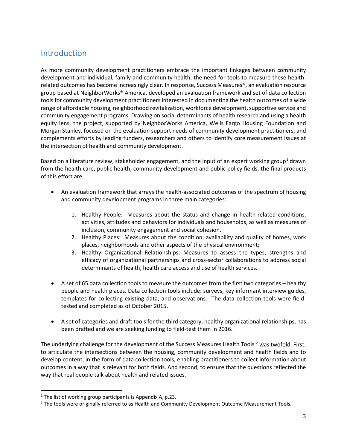## <span id="page-2-0"></span>**Introduction**

As more community development practitioners embrace the important linkages between community development and individual, family and community health, the need for tools to measure these healthrelated outcomes has become increasingly clear. In response, Success Measures<sup>®</sup>, an evaluation resource group based at NeighborWorks® America, developed an evaluation framework and set of data collection tools for community development practitioners interested in documenting the health outcomes of a wide range of affordable housing, neighborhood revitalization, workforce development, supportive service and community engagement programs. Drawing on social determinants of health research and using a health equity lens, the project, supported by NeighborWorks America, Wells Fargo Housing Foundation and Morgan Stanley, focused on the evaluation support needs of community development practitioners, and complements efforts by leading funders, researchers and others to identify core measurement issues at the intersection of health and community development.

Based on a literature review, stakeholder engagement, and the input of an expert working group<sup>[1](#page-2-1)</sup> drawn from the health care, public health, community development and public policy fields, the final products of this effort are:

- An evaluation framework that arrays the health-associated outcomes of the spectrum of housing and community development programs in three main categories:
	- 1. Healthy People: Measures about the status and change in health-related conditions, activities, attitudes and behaviors for individuals and households, as well as measures of inclusion, community engagement and social cohesion.
	- 2. Healthy Places: Measures about the condition, availability and quality of homes, work places, neighborhoods and other aspects of the physical environment;
	- 3. Healthy Organizational Relationships: Measures to assess the types, strengths and efficacy of organizational partnerships and cross-sector collaborations to address social determinants of health, health care access and use of health services.
- A set of 65 data collection tools to measure the outcomes from the first two categories healthy people and health places. Data collection tools include: surveys, key informant interview guides, templates for collecting existing data, and observations. The data collection tools were fieldtested and completed as of October 2015.
- A set of categories and draft tools for the third category, healthy organizational relationships, has been drafted and we are seeking funding to field-test them in 2016.

The underlying challenge for the development of the Success Measures Health Tools <sup>[2](#page-2-2)</sup> was twofold. First, to articulate the intersections between the housing, community development and health fields and to develop content, in the form of data collection tools, enabling practitioners to collect information about outcomes in a way that is relevant for both fields. And second, to ensure that the questions reflected the way that real people talk about health and related issues.

<span id="page-2-1"></span><sup>&</sup>lt;sup>1</sup> The list of working group participants is Appendix A, p.23.

<span id="page-2-2"></span><sup>&</sup>lt;sup>2</sup> The tools were originally referred to as Health and Community Development Outcome Measurement Tools.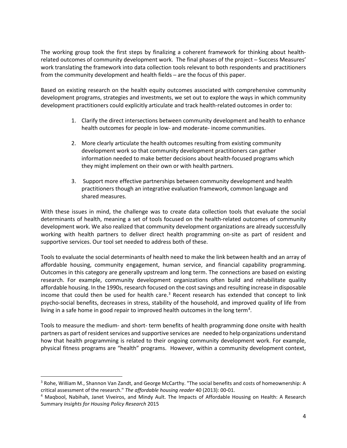The working group took the first steps by finalizing a coherent framework for thinking about healthrelated outcomes of community development work. The final phases of the project ─ Success Measures' work translating the framework into data collection tools relevant to both respondents and practitioners from the community development and health fields - are the focus of this paper.

Based on existing research on the health equity outcomes associated with comprehensive community development programs, strategies and investments, we set out to explore the ways in which community development practitioners could explicitly articulate and track health-related outcomes in order to:

- 1. Clarify the direct intersections between community development and health to enhance health outcomes for people in low- and moderate- income communities.
- 2. More clearly articulate the health outcomes resulting from existing community development work so that community development practitioners can gather information needed to make better decisions about health-focused programs which they might implement on their own or with health partners.
- 3. Support more effective partnerships between community development and health practitioners though an integrative evaluation framework, common language and shared measures.

With these issues in mind, the challenge was to create data collection tools that evaluate the social determinants of health, meaning a set of tools focused on the health-related outcomes of community development work. We also realized that community development organizations are already successfully working with health partners to deliver direct health programming on-site as part of resident and supportive services. Our tool set needed to address both of these.

Tools to evaluate the social determinants of health need to make the link between health and an array of affordable housing, community engagement, human service, and financial capability programming. Outcomes in this category are generally upstream and long term. The connections are based on existing research. For example, community development organizations often build and rehabilitate quality affordable housing. In the 1990s, research focused on the cost savings and resulting increase in disposable income that could then be used for health care.<sup>3</sup> Recent research has extended that concept to link psycho-social benefits, decreases in stress, stability of the household, and improved quality of life from living in a safe home in good repair to improved health outcomes in the long term<sup>[4](#page-3-1)</sup>.

Tools to measure the medium- and short- term benefits of health programming done onsite with health partners as part of resident services and supportive services are needed to help organizations understand how that health programming is related to their ongoing community development work. For example, physical fitness programs are "health" programs. However, within a community development context,

<span id="page-3-0"></span><sup>&</sup>lt;sup>3</sup> Rohe, William M., Shannon Van Zandt, and George McCarthy. "The social benefits and costs of homeownership: A critical assessment of the research." *The affordable housing reader* 40 (2013): 00-01.

<span id="page-3-1"></span><sup>4</sup> Maqbool, Nabihah, Janet Viveiros, and Mindy Ault. The Impacts of Affordable Housing on Health: A Research Summary *Insights for Housing Policy Research* 2015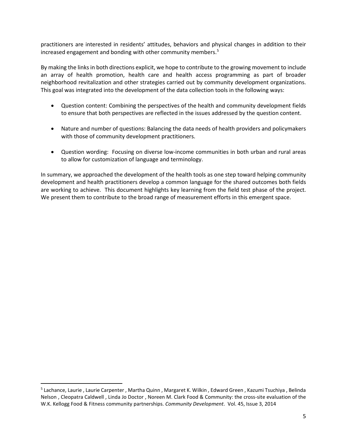practitioners are interested in residents' attitudes, behaviors and physical changes in addition to their increased engagement and bonding with other community members.<sup>[5](#page-4-0)</sup>

By making the links in both directions explicit, we hope to contribute to the growing movement to include an array of health promotion, health care and health access programming as part of broader neighborhood revitalization and other strategies carried out by community development organizations. This goal was integrated into the development of the data collection tools in the following ways:

- Question content: Combining the perspectives of the health and community development fields to ensure that both perspectives are reflected in the issues addressed by the question content.
- Nature and number of questions: Balancing the data needs of health providers and policymakers with those of community development practitioners.
- Question wording: Focusing on diverse low-income communities in both urban and rural areas to allow for customization of language and terminology.

In summary, we approached the development of the health tools as one step toward helping community development and health practitioners develop a common language for the shared outcomes both fields are working to achieve. This document highlights key learning from the field test phase of the project. We present them to contribute to the broad range of measurement efforts in this emergent space.

<span id="page-4-0"></span> <sup>5</sup> Lachance, Laurie , Laurie Carpenter , Martha Quinn , Margaret K. Wilkin , Edward Green , Kazumi Tsuchiya , Belinda Nelson , Cleopatra Caldwell , Linda Jo Doctor , Noreen M. Clark Food & Community: the cross-site evaluation of the W.K. Kellogg Food & Fitness community partnerships. *Community Development*. Vol. 45, Issue 3, 2014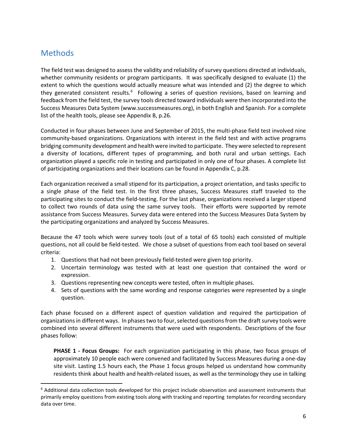## <span id="page-5-0"></span>Methods

The field test was designed to assess the validity and reliability of survey questions directed at individuals, whether community residents or program participants. It was specifically designed to evaluate (1) the extent to which the questions would actually measure what was intended and (2) the degree to which they generated consistent results.<sup>[6](#page-5-1)</sup> Following a series of question revisions, based on learning and feedback from the field test, the survey tools directed toward individuals were then incorporated into the Success Measures Data System (www.successmeasures.org), in both English and Spanish. For a complete list of the health tools, please see Appendix B, p.26.

Conducted in four phases between June and September of 2015, the multi-phase field test involved nine community-based organizations. Organizations with interest in the field test and with active programs bridging community development and health were invited to participate. They were selected to represent a diversity of locations, different types of programming, and both rural and urban settings. Each organization played a specific role in testing and participated in only one of four phases. A complete list of participating organizations and their locations can be found in Appendix C, p.28.

Each organization received a small stipend for its participation, a project orientation, and tasks specific to a single phase of the field test. In the first three phases, Success Measures staff traveled to the participating sites to conduct the field-testing. For the last phase, organizations received a larger stipend to collect two rounds of data using the same survey tools. Their efforts were supported by remote assistance from Success Measures. Survey data were entered into the Success Measures Data System by the participating organizations and analyzed by Success Measures.

Because the 47 tools which were survey tools (out of a total of 65 tools) each consisted of multiple questions, not all could be field-tested. We chose a subset of questions from each tool based on several criteria:

- 1. Questions that had not been previously field-tested were given top priority.
- 2. Uncertain terminology was tested with at least one question that contained the word or expression.
- 3. Questions representing new concepts were tested, often in multiple phases.
- 4. Sets of questions with the same wording and response categories were represented by a single question.

Each phase focused on a different aspect of question validation and required the participation of organizations in different ways. In phases two to four, selected questions from the draft survey tools were combined into several different instruments that were used with respondents. Descriptions of the four phases follow:

**PHASE 1 - Focus Groups:** For each organization participating in this phase, two focus groups of approximately 10 people each were convened and facilitated by Success Measures during a one-day site visit. Lasting 1.5 hours each, the Phase 1 focus groups helped us understand how community residents think about health and health-related issues, as well as the terminology they use in talking

<span id="page-5-1"></span> $6$  Additional data collection tools developed for this project include observation and assessment instruments that primarily employ questions from existing tools along with tracking and reporting templates for recording secondary data over time.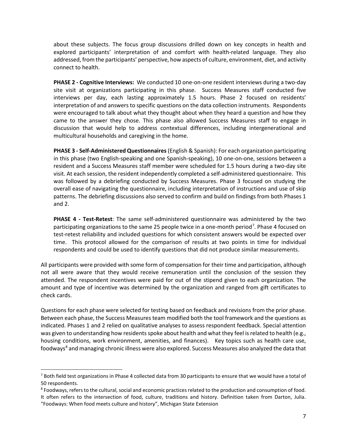about these subjects. The focus group discussions drilled down on key concepts in health and explored participants' interpretation of and comfort with health-related language. They also addressed, from the participants' perspective, how aspects of culture, environment, diet, and activity connect to health.

**PHASE 2 - Cognitive Interviews:** We conducted 10 one-on-one resident interviews during a two-day site visit at organizations participating in this phase. Success Measures staff conducted five interviews per day, each lasting approximately 1.5 hours. Phase 2 focused on residents' interpretation of and answers to specific questions on the data collection instruments. Respondents were encouraged to talk about what they thought about when they heard a question and how they came to the answer they chose. This phase also allowed Success Measures staff to engage in discussion that would help to address contextual differences, including intergenerational and multicultural households and caregiving in the home.

**PHASE 3 - Self-Administered Questionnaires**(English & Spanish): For each organization participating in this phase (two English-speaking and one Spanish-speaking), 10 one-on-one, sessions between a resident and a Success Measures staff member were scheduled for 1.5 hours during a two-day site visit. At each session, the resident independently completed a self-administered questionnaire. This was followed by a debriefing conducted by Success Measures. Phase 3 focused on studying the overall ease of navigating the questionnaire, including interpretation of instructions and use of skip patterns. The debriefing discussions also served to confirm and build on findings from both Phases 1 and 2.

**PHASE 4 - Test-Retest**: The same self-administered questionnaire was administered by the two participating organizations to the same 25 people twice in a one-month period<sup>[7](#page-6-0)</sup>. Phase 4 focused on test-retest reliability and included questions for which consistent answers would be expected over time. This protocol allowed for the comparison of results at two points in time for individual respondents and could be used to identify questions that did not produce similar measurements.

All participants were provided with some form of compensation for their time and participation, although not all were aware that they would receive remuneration until the conclusion of the session they attended. The respondent incentives were paid for out of the stipend given to each organization. The amount and type of incentive was determined by the organization and ranged from gift certificates to check cards.

Questions for each phase were selected for testing based on feedback and revisions from the prior phase. Between each phase, the Success Measures team modified both the tool framework and the questions as indicated. Phases 1 and 2 relied on qualitative analyses to assess respondent feedback. Special attention was given to understanding how residents spoke about health and what they feel is related to health (e.g., housing conditions, work environment, amenities, and finances). Key topics such as health care use, foodways<sup>[8](#page-6-1)</sup> and managing chronic illness were also explored. Success Measures also analyzed the data that

<span id="page-6-0"></span><sup>&</sup>lt;sup>7</sup> Both field test organizations in Phase 4 collected data from 30 participants to ensure that we would have a total of 50 respondents.

<span id="page-6-1"></span><sup>8</sup> Foodways, refers to the cultural, social and economic practices related to the production and consumption of food. It often refers to the intersection of food, culture, traditions and history. Definition taken from Darton, Julia. "Foodways: When food meets culture and history", Michigan State Extension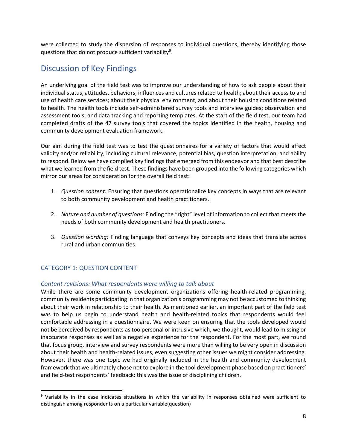were collected to study the dispersion of responses to individual questions, thereby identifying those questions that do not produce sufficient variability<sup>[9](#page-7-1)</sup>.

## <span id="page-7-0"></span>Discussion of Key Findings

An underlying goal of the field test was to improve our understanding of how to ask people about their individual status, attitudes, behaviors, influences and cultures related to health; about their access to and use of health care services; about their physical environment, and about their housing conditions related to health. The health tools include self-administered survey tools and interview guides; observation and assessment tools; and data tracking and reporting templates. At the start of the field test, our team had completed drafts of the 47 survey tools that covered the topics identified in the health, housing and community development evaluation framework.

Our aim during the field test was to test the questionnaires for a variety of factors that would affect validity and/or reliability, including cultural relevance, potential bias, question interpretation, and ability to respond. Below we have compiled key findings that emerged from this endeavor and that best describe what we learned from the field test. These findings have been grouped into the following categories which mirror our areas for consideration for the overall field test:

- 1. *Question content:* Ensuring that questions operationalize key concepts in ways that are relevant to both community development and health practitioners.
- 2. *Nature and number of questions:* Finding the "right" level of information to collect that meets the needs of both community development and health practitioners.
- 3. *Question wording:* Finding language that conveys key concepts and ideas that translate across rural and urban communities.

## CATEGORY 1: QUESTION CONTENT

## *Content revisions: What respondents were willing to talk about*

While there are some community development organizations offering health-related programming, community residents participating in that organization's programming may not be accustomed to thinking about their work in relationship to their health. As mentioned earlier, an important part of the field test was to help us begin to understand health and health-related topics that respondents would feel comfortable addressing in a questionnaire. We were keen on ensuring that the tools developed would not be perceived by respondents as too personal or intrusive which, we thought, would lead to missing or inaccurate responses as well as a negative experience for the respondent. For the most part, we found that focus group, interview and survey respondents were more than willing to be very open in discussion about their health and health-related issues, even suggesting other issues we might consider addressing. However, there was one topic we had originally included in the health and community development framework that we ultimately chose not to explore in the tool development phase based on practitioners' and field-test respondents' feedback: this was the issue of disciplining children.

<span id="page-7-1"></span> <sup>9</sup> Variability in the case indicates situations in which the variability in responses obtained were sufficient to distinguish among respondents on a particular variable(question)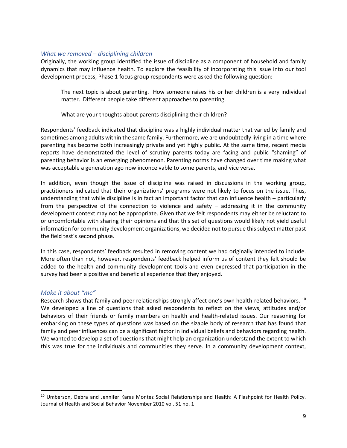### *What we removed – disciplining children*

Originally, the working group identified the issue of discipline as a component of household and family dynamics that may influence health. To explore the feasibility of incorporating this issue into our tool development process, Phase 1 focus group respondents were asked the following question:

The next topic is about parenting. How someone raises his or her children is a very individual matter. Different people take different approaches to parenting.

What are your thoughts about parents disciplining their children?

Respondents' feedback indicated that discipline was a highly individual matter that varied by family and sometimes among adults within the same family. Furthermore, we are undoubtedly living in a time where parenting has become both increasingly private and yet highly public. At the same time, recent media reports have demonstrated the level of scrutiny parents today are facing and public "shaming" of parenting behavior is an emerging phenomenon. Parenting norms have changed over time making what was acceptable a generation ago now inconceivable to some parents, and vice versa.

In addition, even though the issue of discipline was raised in discussions in the working group, practitioners indicated that their organizations' programs were not likely to focus on the issue. Thus, understanding that while discipline is in fact an important factor that can influence health – particularly from the perspective of the connection to violence and safety – addressing it in the community development context may not be appropriate. Given that we felt respondents may either be reluctant to or uncomfortable with sharing their opinions and that this set of questions would likely not yield useful information for community development organizations, we decided not to pursue this subject matter past the field test's second phase.

In this case, respondents' feedback resulted in removing content we had originally intended to include. More often than not, however, respondents' feedback helped inform us of content they felt should be added to the health and community development tools and even expressed that participation in the survey had been a positive and beneficial experience that they enjoyed.

### *Make it about "me"*

Research shows that family and peer relationships strongly affect one's own health-related behaviors. <sup>[10](#page-8-0)</sup> We developed a line of questions that asked respondents to reflect on the views, attitudes and/or behaviors of their friends or family members on health and health-related issues. Our reasoning for embarking on these types of questions was based on the sizable body of research that has found that family and peer influences can be a significant factor in individual beliefs and behaviors regarding health. We wanted to develop a set of questions that might help an organization understand the extent to which this was true for the individuals and communities they serve. In a community development context,

<span id="page-8-0"></span><sup>&</sup>lt;sup>10</sup> Umberson, Debra and Jennifer Karas Montez Social Relationships and Health: A Flashpoint for Health Policy. Journal of Health and Social Behavior November 2010 vol. 51 no. 1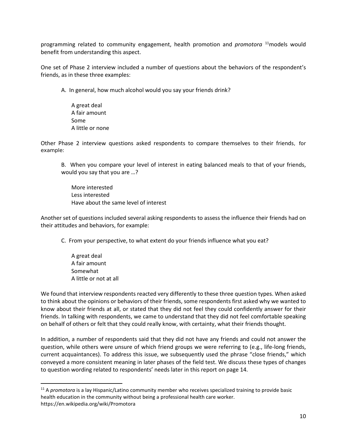programming related to community engagement, health promotion and *promotora* [11m](#page-9-0)odels would benefit from understanding this aspect.

One set of Phase 2 interview included a number of questions about the behaviors of the respondent's friends, as in these three examples:

A. In general, how much alcohol would you say your friends drink?

A great deal A fair amount Some A little or none

Other Phase 2 interview questions asked respondents to compare themselves to their friends, for example:

B. When you compare your level of interest in eating balanced meals to that of your friends, would you say that you are …?

More interested Less interested Have about the same level of interest

Another set of questions included several asking respondents to assess the influence their friends had on their attitudes and behaviors, for example:

C. From your perspective, to what extent do your friends influence what you eat?

A great deal A fair amount Somewhat A little or not at all

We found that interview respondents reacted very differently to these three question types. When asked to think about the opinions or behaviors of their friends, some respondents first asked why we wanted to know about their friends at all, or stated that they did not feel they could confidently answer for their friends. In talking with respondents, we came to understand that they did not feel comfortable speaking on behalf of others or felt that they could really know, with certainty, what their friends thought.

In addition, a number of respondents said that they did not have any friends and could not answer the question, while others were unsure of which friend groups we were referring to (e.g., life-long friends, current acquaintances). To address this issue, we subsequently used the phrase "close friends," which conveyed a more consistent meaning in later phases of the field test. We discuss these types of changes to question wording related to respondents' needs later in this report on page 14.

<span id="page-9-0"></span> <sup>11</sup> <sup>A</sup>*promotora* is a lay Hispanic/Latino community member who receives specialized training to provide basic health education in the community without being a professional health care worker. https://en.wikipedia.org/wiki/Promotora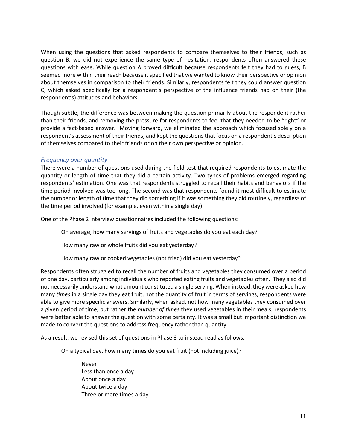When using the questions that asked respondents to compare themselves to their friends, such as question B, we did not experience the same type of hesitation; respondents often answered these questions with ease. While question A proved difficult because respondents felt they had to guess, B seemed more within their reach because it specified that we wanted to know their perspective or opinion about themselves in comparison to their friends. Similarly, respondents felt they could answer question C, which asked specifically for a respondent's perspective of the influence friends had on their (the respondent's) attitudes and behaviors.

Though subtle, the difference was between making the question primarily about the respondent rather than their friends, and removing the pressure for respondents to feel that they needed to be "right" or provide a fact-based answer. Moving forward, we eliminated the approach which focused solely on a respondent's assessment of their friends, and kept the questions that focus on a respondent's description of themselves compared to their friends or on their own perspective or opinion.

## *Frequency over quantity*

There were a number of questions used during the field test that required respondents to estimate the quantity or length of time that they did a certain activity. Two types of problems emerged regarding respondents' estimation. One was that respondents struggled to recall their habits and behaviors if the time period involved was too long. The second was that respondents found it most difficult to estimate the number or length of time that they did something if it was something they did routinely, regardless of the time period involved (for example, even within a single day).

One of the Phase 2 interview questionnaires included the following questions:

On average, how many servings of fruits and vegetables do you eat each day?

How many raw or whole fruits did you eat yesterday?

How many raw or cooked vegetables (not fried) did you eat yesterday?

Respondents often struggled to recall the number of fruits and vegetables they consumed over a period of one day, particularly among individuals who reported eating fruits and vegetables often. They also did not necessarily understand what amount constituted a single serving. When instead, they were asked how many *times* in a single day they eat fruit, not the quantity of fruit in terms of servings, respondents were able to give more specific answers. Similarly, when asked, not how many vegetables they consumed over a given period of time, but rather the *number of times* they used vegetables in their meals, respondents were better able to answer the question with some certainty. It was a small but important distinction we made to convert the questions to address frequency rather than quantity.

As a result, we revised this set of questions in Phase 3 to instead read as follows:

On a typical day, how many times do you eat fruit (not including juice)?

Never Less than once a day About once a day About twice a day Three or more times a day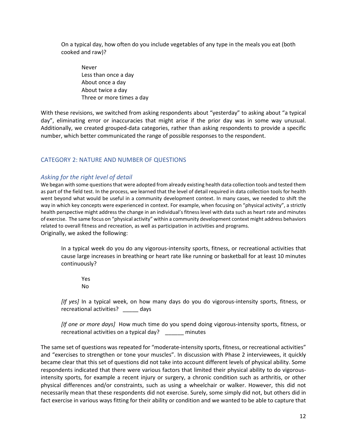On a typical day, how often do you include vegetables of any type in the meals you eat (both cooked and raw)?

Never Less than once a day About once a day About twice a day Three or more times a day

With these revisions, we switched from asking respondents about "yesterday" to asking about "a typical day", eliminating error or inaccuracies that might arise if the prior day was in some way unusual. Additionally, we created grouped-data categories, rather than asking respondents to provide a specific number, which better communicated the range of possible responses to the respondent.

## CATEGORY 2: NATURE AND NUMBER OF QUESTIONS

## *Asking for the right level of detail*

We began with some questions that were adopted from already existing health data collection tools and tested them as part of the field test. In the process, we learned that the level of detail required in data collection tools for health went beyond what would be useful in a community development context. In many cases, we needed to shift the way in which key concepts were experienced in context. For example, when focusing on "physical activity", a strictly health perspective might address the change in an individual's fitness level with data such as heart rate and minutes of exercise. The same focus on "physical activity" within a community development context might address behaviors related to overall fitness and recreation, as well as participation in activities and programs. Originally, we asked the following:

In a typical week do you do any vigorous-intensity sports, fitness, or recreational activities that cause large increases in breathing or heart rate like running or basketball for at least 10 minutes continuously?

Yes No

*[If yes]* In a typical week, on how many days do you do vigorous-intensity sports, fitness, or recreational activities? \_\_\_\_\_ days

*[If one or more days]* How much time do you spend doing vigorous-intensity sports, fitness, or recreational activities on a typical day? \_\_\_\_\_\_ minutes

The same set of questions was repeated for "moderate-intensity sports, fitness, or recreational activities" and "exercises to strengthen or tone your muscles". In discussion with Phase 2 interviewees, it quickly became clear that this set of questions did not take into account different levels of physical ability. Some respondents indicated that there were various factors that limited their physical ability to do vigorousintensity sports, for example a recent injury or surgery, a chronic condition such as arthritis, or other physical differences and/or constraints, such as using a wheelchair or walker. However, this did not necessarily mean that these respondents did not exercise. Surely, some simply did not, but others did in fact exercise in various ways fitting for their ability or condition and we wanted to be able to capture that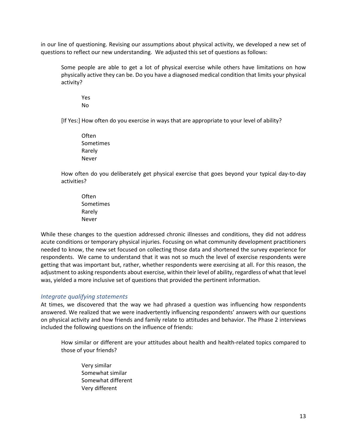in our line of questioning. Revising our assumptions about physical activity, we developed a new set of questions to reflect our new understanding. We adjusted this set of questions as follows:

Some people are able to get a lot of physical exercise while others have limitations on how physically active they can be. Do you have a diagnosed medical condition that limits your physical activity?

Yes No

[If Yes:] How often do you exercise in ways that are appropriate to your level of ability?

Often Sometimes Rarely Never

How often do you deliberately get physical exercise that goes beyond your typical day-to-day activities?

**Often** Sometimes Rarely Never

While these changes to the question addressed chronic illnesses and conditions, they did not address acute conditions or temporary physical injuries. Focusing on what community development practitioners needed to know, the new set focused on collecting those data and shortened the survey experience for respondents. We came to understand that it was not so much the level of exercise respondents were getting that was important but, rather, whether respondents were exercising at all. For this reason, the adjustment to asking respondents about exercise, within their level of ability, regardless of what that level was, yielded a more inclusive set of questions that provided the pertinent information.

### *Integrate qualifying statements*

At times, we discovered that the way we had phrased a question was influencing how respondents answered. We realized that we were inadvertently influencing respondents' answers with our questions on physical activity and how friends and family relate to attitudes and behavior. The Phase 2 interviews included the following questions on the influence of friends:

How similar or different are your attitudes about health and health-related topics compared to those of your friends?

Very similar Somewhat similar Somewhat different Very different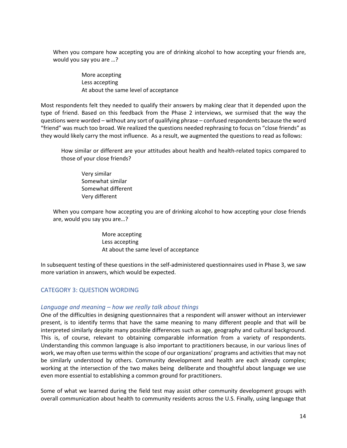When you compare how accepting you are of drinking alcohol to how accepting your friends are, would you say you are …?

> More accepting Less accepting At about the same level of acceptance

Most respondents felt they needed to qualify their answers by making clear that it depended upon the type of friend. Based on this feedback from the Phase 2 interviews, we surmised that the way the questions were worded – without any sort of qualifying phrase – confused respondents because the word "friend" was much too broad. We realized the questions needed rephrasing to focus on "close friends" as they would likely carry the most influence. As a result, we augmented the questions to read as follows:

How similar or different are your attitudes about health and health-related topics compared to those of your close friends?

Very similar Somewhat similar Somewhat different Very different

When you compare how accepting you are of drinking alcohol to how accepting your close friends are, would you say you are…?

> More accepting Less accepting At about the same level of acceptance

In subsequent testing of these questions in the self-administered questionnaires used in Phase 3, we saw more variation in answers, which would be expected.

## CATEGORY 3: QUESTION WORDING

## *Language and meaning – how we really talk about things*

One of the difficulties in designing questionnaires that a respondent will answer without an interviewer present, is to identify terms that have the same meaning to many different people and that will be interpreted similarly despite many possible differences such as age, geography and cultural background. This is, of course, relevant to obtaining comparable information from a variety of respondents. Understanding this common language is also important to practitioners because, in our various lines of work, we may often use terms within the scope of our organizations' programs and activities that may not be similarly understood by others. Community development and health are each already complex; working at the intersection of the two makes being deliberate and thoughtful about language we use even more essential to establishing a common ground for practitioners.

Some of what we learned during the field test may assist other community development groups with overall communication about health to community residents across the U.S. Finally, using language that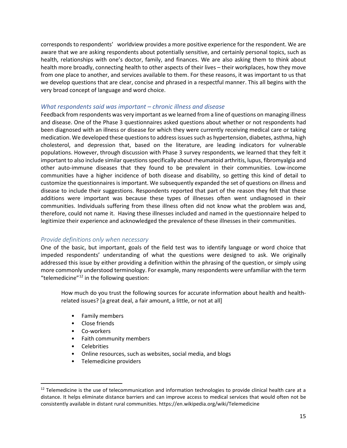corresponds to respondents' worldview provides a more positive experience for the respondent. We are aware that we are asking respondents about potentially sensitive, and certainly personal topics, such as health, relationships with one's doctor, family, and finances. We are also asking them to think about health more broadly, connecting health to other aspects of their lives – their workplaces, how they move from one place to another, and services available to them. For these reasons, it was important to us that we develop questions that are clear, concise and phrased in a respectful manner. This all begins with the very broad concept of language and word choice.

## *What respondents said was important – chronic illness and disease*

Feedback from respondents was very important as we learned from a line of questions on managing illness and disease. One of the Phase 3 questionnaires asked questions about whether or not respondents had been diagnosed with an illness or disease for which they were currently receiving medical care or taking medication. We developed these questions to address issues such as hypertension, diabetes, asthma, high cholesterol, and depression that, based on the literature, are leading indicators for vulnerable populations. However, through discussion with Phase 3 survey respondents, we learned that they felt it important to also include similar questions specifically about rheumatoid arthritis, lupus, fibromyalgia and other auto-immune diseases that they found to be prevalent in their communities. Low-income communities have a higher incidence of both disease and disability, so getting this kind of detail to customize the questionnaires is important. We subsequently expanded the set of questions on illness and disease to include their suggestions. Respondents reported that part of the reason they felt that these additions were important was because these types of illnesses often went undiagnosed in their communities. Individuals suffering from these illness often did not know what the problem was and, therefore, could not name it. Having these illnesses included and named in the questionnaire helped to legitimize their experience and acknowledged the prevalence of these illnesses in their communities.

## *Provide definitions only when necessary*

One of the basic, but important, goals of the field test was to identify language or word choice that impeded respondents' understanding of what the questions were designed to ask. We originally addressed this issue by either providing a definition within the phrasing of the question, or simply using more commonly understood terminology. For example, many respondents were unfamiliar with the term "telemedicine"[12](#page-14-0) in the following question:

How much do you trust the following sources for accurate information about health and healthrelated issues? [a great deal, a fair amount, a little, or not at all]

- Family members
- Close friends
- Co-workers
- Faith community members
- **Celebrities**
- Online resources, such as websites, social media, and blogs
- Telemedicine providers

<span id="page-14-0"></span><sup>&</sup>lt;sup>12</sup> Telemedicine is the use of telecommunication and information technologies to provide clinical health care at a distance. It helps eliminate distance barriers and can improve access to medical services that would often not be consistently available in distant rural communities. https://en.wikipedia.org/wiki/Telemedicine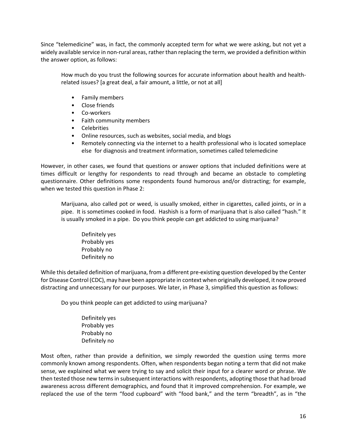Since "telemedicine" was, in fact, the commonly accepted term for what we were asking, but not yet a widely available service in non-rural areas, rather than replacing the term, we provided a definition within the answer option, as follows:

How much do you trust the following sources for accurate information about health and healthrelated issues? [a great deal, a fair amount, a little, or not at all]

- Family members
- Close friends
- Co-workers
- Faith community members
- Celebrities
- Online resources, such as websites, social media, and blogs
- Remotely connecting via the internet to a health professional who is located someplace else for diagnosis and treatment information, sometimes called telemedicine

However, in other cases, we found that questions or answer options that included definitions were at times difficult or lengthy for respondents to read through and became an obstacle to completing questionnaire. Other definitions some respondents found humorous and/or distracting; for example, when we tested this question in Phase 2:

Marijuana, also called pot or weed, is usually smoked, either in cigarettes, called joints, or in a pipe. It is sometimes cooked in food. Hashish is a form of marijuana that is also called "hash." It is usually smoked in a pipe. Do you think people can get addicted to using marijuana?

Definitely yes Probably yes Probably no Definitely no

While this detailed definition of marijuana, from a different pre-existing question developed by the Center for Disease Control (CDC), may have been appropriate in context when originally developed, it now proved distracting and unnecessary for our purposes. We later, in Phase 3, simplified this question as follows:

Do you think people can get addicted to using marijuana?

Definitely yes Probably yes Probably no Definitely no

Most often, rather than provide a definition, we simply reworded the question using terms more commonly known among respondents. Often, when respondents began noting a term that did not make sense, we explained what we were trying to say and solicit their input for a clearer word or phrase. We then tested those new terms in subsequent interactions with respondents, adopting those that had broad awareness across different demographics, and found that it improved comprehension. For example, we replaced the use of the term "food cupboard" with "food bank," and the term "breadth", as in "the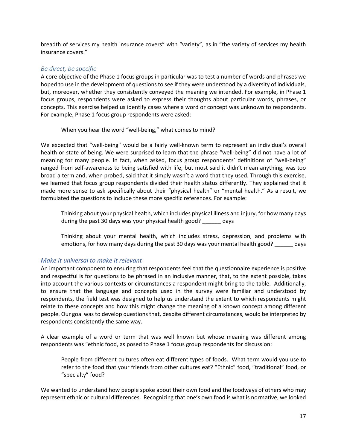breadth of services my health insurance covers" with "variety", as in "the variety of services my health insurance covers."

## *Be direct, be specific*

A core objective of the Phase 1 focus groups in particular was to test a number of words and phrases we hoped to use in the development of questions to see if they were understood by a diversity of individuals, but, moreover, whether they consistently conveyed the meaning we intended. For example, in Phase 1 focus groups, respondents were asked to express their thoughts about particular words, phrases, or concepts. This exercise helped us identify cases where a word or concept was unknown to respondents. For example, Phase 1 focus group respondents were asked:

When you hear the word "well-being," what comes to mind?

We expected that "well-being" would be a fairly well-known term to represent an individual's overall health or state of being. We were surprised to learn that the phrase "well-being" did not have a lot of meaning for many people. In fact, when asked, focus group respondents' definitions of "well-being" ranged from self-awareness to being satisfied with life, but most said it didn't mean anything, was too broad a term and, when probed, said that it simply wasn't a word that they used. Through this exercise, we learned that focus group respondents divided their health status differently. They explained that it made more sense to ask specifically about their "physical health" or "mental health." As a result, we formulated the questions to include these more specific references. For example:

Thinking about your physical health, which includes physical illness and injury, for how many days during the past 30 days was your physical health good? \_\_\_\_\_\_ days

Thinking about your mental health, which includes stress, depression, and problems with emotions, for how many days during the past 30 days was your mental health good? days

### *Make it universal to make it relevant*

An important component to ensuring that respondents feel that the questionnaire experience is positive and respectful is for questions to be phrased in an inclusive manner, that, to the extent possible, takes into account the various contexts or circumstances a respondent might bring to the table. Additionally, to ensure that the language and concepts used in the survey were familiar and understood by respondents, the field test was designed to help us understand the extent to which respondents might relate to these concepts and how this might change the meaning of a known concept among different people. Our goal was to develop questions that, despite different circumstances, would be interpreted by respondents consistently the same way.

A clear example of a word or term that was well known but whose meaning was different among respondents was "ethnic food, as posed to Phase 1 focus group respondents for discussion:

People from different cultures often eat different types of foods. What term would you use to refer to the food that your friends from other cultures eat? "Ethnic" food, "traditional" food, or "specialty" food?

We wanted to understand how people spoke about their own food and the foodways of others who may represent ethnic or cultural differences. Recognizing that one's own food is what is normative, we looked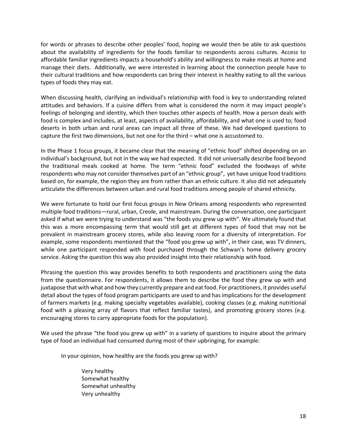for words or phrases to describe other peoples' food, hoping we would then be able to ask questions about the availability of ingredients for the foods familiar to respondents across cultures. Access to affordable familiar ingredients impacts a household's ability and willingness to make meals at home and manage their diets. Additionally, we were interested in learning about the connection people have to their cultural traditions and how respondents can bring their interest in healthy eating to all the various types of foods they may eat.

When discussing health, clarifying an individual's relationship with food is key to understanding related attitudes and behaviors. If a cuisine differs from what is considered the norm it may impact people's feelings of belonging and identity, which then touches other aspects of health. How a person deals with food is complex and includes, at least, aspects of availability, affordability, and what one is used to; food deserts in both urban and rural areas can impact all three of these. We had developed questions to capture the first two dimensions, but not one for the third – what one is accustomed to.

In the Phase 1 focus groups, it became clear that the meaning of "ethnic food" shifted depending on an individual's background, but not in the way we had expected. It did not universally describe food beyond the traditional meals cooked at home. The term "ethnic food" excluded the foodways of white respondents who may not consider themselves part of an "ethnic group", yet have unique food traditions based on, for example, the region they are from rather than an ethnic culture. It also did not adequately articulate the differences between urban and rural food traditions among people of shared ethnicity.

We were fortunate to hold our first focus groups in New Orleans among respondents who represented multiple food traditions—rural, urban, Creole, and mainstream. During the conversation, one participant asked if what we were trying to understand was "the foods you grew up with". We ultimately found that this was a more encompassing term that would still get at different types of food that may not be prevalent in mainstream grocery stores, while also leaving room for a diversity of interpretation. For example, some respondents mentioned that the "food you grew up with", in their case, was TV dinners, while one participant responded with food purchased through the Schwan's home delivery grocery service. Asking the question this way also provided insight into their relationship with food.

Phrasing the question this way provides benefits to both respondents and practitioners using the data from the questionnaire. For respondents, it allows them to describe the food they grew up with and juxtapose that with what and how they currently prepare and eat food. For practitioners, it provides useful detail about the types of food program participants are used to and has implications for the development of farmers markets (e.g. making specialty vegetables available), cooking classes (e.g. making nutritional food with a pleasing array of flavors that reflect familiar tastes), and promoting grocery stores (e.g. encouraging stores to carry appropriate foods for the population).

We used the phrase "the food you grew up with" in a variety of questions to inquire about the primary type of food an individual had consumed during most of their upbringing, for example:

In your opinion, how healthy are the foods you grew up with?

Very healthy Somewhat healthy Somewhat unhealthy Very unhealthy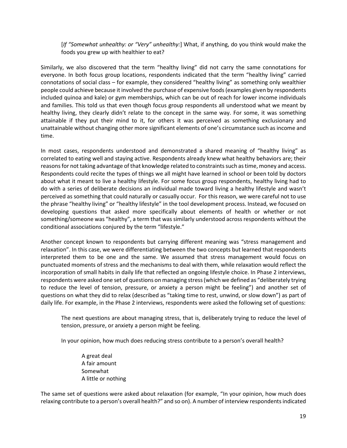[*If "Somewhat unhealthy: or "Very" unhealthy:*] What, if anything, do you think would make the foods you grew up with healthier to eat?

Similarly, we also discovered that the term "healthy living" did not carry the same connotations for everyone. In both focus group locations, respondents indicated that the term "healthy living" carried connotations of social class – for example, they considered "healthy living" as something only wealthier people could achieve because it involved the purchase of expensive foods (examples given by respondents included quinoa and kale) or gym memberships, which can be out of reach for lower income individuals and families. This told us that even though focus group respondents all understood what we meant by healthy living, they clearly didn't relate to the concept in the same way. For some, it was something attainable if they put their mind to it, for others it was perceived as something exclusionary and unattainable without changing other more significant elements of one's circumstance such as income and time.

In most cases, respondents understood and demonstrated a shared meaning of "healthy living" as correlated to eating well and staying active. Respondents already knew what healthy behaviors are; their reasons for not taking advantage of that knowledge related to constraints such as time, money and access. Respondents could recite the types of things we all might have learned in school or been told by doctors about what it meant to live a healthy lifestyle. For some focus group respondents, healthy living had to do with a series of deliberate decisions an individual made toward living a healthy lifestyle and wasn't perceived as something that could naturally or casually occur. For this reason, we were careful not to use the phrase "healthy living" or "healthy lifestyle" in the tool development process. Instead, we focused on developing questions that asked more specifically about elements of health or whether or not something/someone was "healthy", a term that was similarly understood across respondents without the conditional associations conjured by the term "lifestyle."

Another concept known to respondents but carrying different meaning was "stress management and relaxation". In this case, we were differentiating between the two concepts but learned that respondents interpreted them to be one and the same. We assumed that stress management would focus on punctuated moments of stress and the mechanisms to deal with them, while relaxation would reflect the incorporation of small habits in daily life that reflected an ongoing lifestyle choice. In Phase 2 interviews, respondents were asked one set of questions on managing stress (which we defined as "deliberately trying to reduce the level of tension, pressure, or anxiety a person might be feeling") and another set of questions on what they did to relax (described as "taking time to rest, unwind, or slow down") as part of daily life. For example, in the Phase 2 interviews, respondents were asked the following set of questions:

The next questions are about managing stress, that is, deliberately trying to reduce the level of tension, pressure, or anxiety a person might be feeling.

In your opinion, how much does reducing stress contribute to a person's overall health?

A great deal A fair amount Somewhat A little or nothing

The same set of questions were asked about relaxation (for example, "In your opinion, how much does relaxing contribute to a person's overall health?" and so on). A number of interview respondents indicated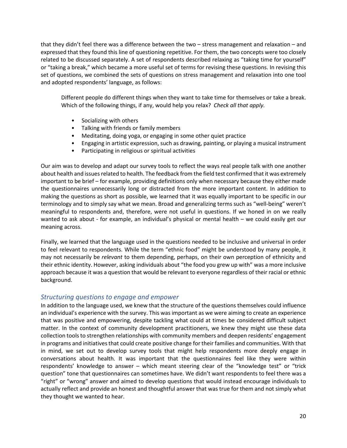that they didn't feel there was a difference between the two – stress management and relaxation – and expressed that they found this line of questioning repetitive. For them, the two concepts were too closely related to be discussed separately. A set of respondents described relaxing as "taking time for yourself" or "taking a break," which became a more useful set of terms for revising these questions. In revising this set of questions, we combined the sets of questions on stress management and relaxation into one tool and adopted respondents' language, as follows:

Different people do different things when they want to take time for themselves or take a break. Which of the following things, if any, would help you relax? *Check all that apply.*

- Socializing with others
- Talking with friends or family members
- Meditating, doing yoga, or engaging in some other quiet practice
- Engaging in artistic expression, such as drawing, painting, or playing a musical instrument
- Participating in religious or spiritual activities

Our aim was to develop and adapt our survey tools to reflect the ways real people talk with one another about health and issues related to health. The feedback from the field test confirmed that it was extremely important to be brief – for example, providing definitions only when necessary because they either made the questionnaires unnecessarily long or distracted from the more important content. In addition to making the questions as short as possible, we learned that it was equally important to be specific in our terminology and to simply say what we mean. Broad and generalizing terms such as "well-being" weren't meaningful to respondents and, therefore, were not useful in questions. If we honed in on we really wanted to ask about - for example, an individual's physical or mental health – we could easily get our meaning across.

Finally, we learned that the language used in the questions needed to be inclusive and universal in order to feel relevant to respondents. While the term "ethnic food" might be understood by many people, it may not necessarily be *relevant* to them depending, perhaps, on their own perception of ethnicity and their ethnic identity. However, asking individuals about "the food you grew up with" was a more inclusive approach because it was a question that would be relevant to everyone regardless of their racial or ethnic background.

### *Structuring questions to engage and empower*

In addition to the language used, we knew that the structure of the questions themselves could influence an individual's experience with the survey. This was important as we were aiming to create an experience that was positive and empowering, despite tackling what could at times be considered difficult subject matter. In the context of community development practitioners, we knew they might use these data collection tools to strengthen relationships with community members and deepen residents' engagement in programs and initiatives that could create positive change for their families and communities. With that in mind, we set out to develop survey tools that might help respondents more deeply engage in conversations about health. It was important that the questionnaires feel like they were within respondents' knowledge to answer – which meant steering clear of the "knowledge test" or "trick question" tone that questionnaires can sometimes have. We didn't want respondents to feel there was a "right" or "wrong" answer and aimed to develop questions that would instead encourage individuals to actually reflect and provide an honest and thoughtful answer that was true for them and not simply what they thought we wanted to hear.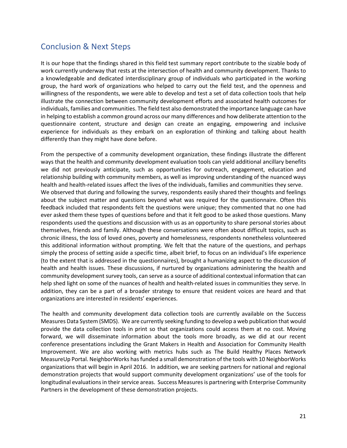## <span id="page-20-0"></span>Conclusion & Next Steps

It is our hope that the findings shared in this field test summary report contribute to the sizable body of work currently underway that rests at the intersection of health and community development. Thanks to a knowledgeable and dedicated interdisciplinary group of individuals who participated in the working group, the hard work of organizations who helped to carry out the field test, and the openness and willingness of the respondents, we were able to develop and test a set of data collection tools that help illustrate the connection between community development efforts and associated health outcomes for individuals, families and communities. The field test also demonstrated the importance language can have in helping to establish a common ground across our many differences and how deliberate attention to the questionnaire content, structure and design can create an engaging, empowering and inclusive experience for individuals as they embark on an exploration of thinking and talking about health differently than they might have done before.

From the perspective of a community development organization, these findings illustrate the different ways that the health and community development evaluation tools can yield additional ancillary benefits we did not previously anticipate, such as opportunities for outreach, engagement, education and relationship building with community members, as well as improving understanding of the nuanced ways health and health-related issues affect the lives of the individuals, families and communities they serve. We observed that during and following the survey, respondents easily shared their thoughts and feelings about the subject matter and questions beyond what was required for the questionnaire. Often this feedback included that respondents felt the questions were unique; they commented that no one had ever asked them these types of questions before and that it felt good to be asked those questions. Many respondents used the questions and discussion with us as an opportunity to share personal stories about themselves, friends and family. Although these conversations were often about difficult topics, such as chronic illness, the loss of loved ones, poverty and homelessness, respondents nonetheless volunteered this additional information without prompting. We felt that the nature of the questions, and perhaps simply the process of setting aside a specific time, albeit brief, to focus on an individual's life experience (to the extent that is addressed in the questionnaires), brought a humanizing aspect to the discussion of health and health issues. These discussions, if nurtured by organizations administering the health and community development survey tools, can serve as a source of additional contextual information that can help shed light on some of the nuances of health and health-related issues in communities they serve. In addition, they can be a part of a broader strategy to ensure that resident voices are heard and that organizations are interested in residents' experiences.

The health and community development data collection tools are currently available on the Success Measures Data System (SMDS). We are currently seeking funding to develop a web publication that would provide the data collection tools in print so that organizations could access them at no cost. Moving forward, we will disseminate information about the tools more broadly, as we did at our recent conference presentations including the Grant Makers in Health and Association for Community Health Improvement. We are also working with metrics hubs such as The Build Healthy Places Network MeasureUp Portal. NeighborWorks has funded a small demonstration of the tools with 10 NeighborWorks organizations that will begin in April 2016. In addition, we are seeking partners for national and regional demonstration projects that would support community development organizations' use of the tools for longitudinal evaluations in their service areas. Success Measures is partnering with Enterprise Community Partners in the development of these demonstration projects.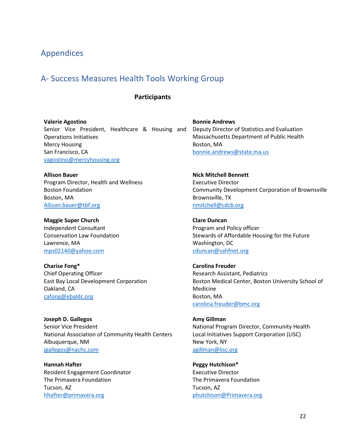## <span id="page-21-0"></span>Appendices

## <span id="page-21-1"></span>A- Success Measures Health Tools Working Group

### **Participants**

**Valerie Agostino**

Senior Vice President, Healthcare & Housing and Operations Initiatives Mercy Housing San Francisco, CA [vagostino@mercyhousing.org](mailto:vagostino@mercyhousing.org)

**Allison Bauer** Program Director, Health and Wellness Boston Foundation Boston, MA [Allison.bauer@tbf.org](mailto:Allison.bauer@tbf.org)

**Maggie Super Church** Independent Consultant Conservation Law Foundation Lawrence, MA [mps02140@yahoo.com](mailto:mps02140@yahoo.com)

**Charise Fong\*** Chief Operating Officer East Bay Local Development Corporation Oakland, CA [cafong@ebaldc.org](mailto:cafong@ebaldc.org)

**Joseph D. Gallegos** Senior Vice President National Association of Community Health Centers Albuquerque, NM [jgallegos@nachc.com](mailto:jgallegos@nachc.com)

**Hannah Hafter** Resident Engagement Coordinator The Primavera Foundation Tucson, AZ [hhafter@primavera.org](mailto:hhafter@primavera.org)

**Bonnie Andrews** Deputy Director of Statistics and Evaluation Massachusetts Department of Public Health Boston, MA [bonnie.andrews@state.ma.us](mailto:bonnie.andrews@state.ma.us)

**Nick Mitchell Bennett** Executive Director Community Development Corporation of Brownsville Brownsville, TX [nmitchell@cdcb.org](mailto:nmitchell@cdcb.org)

**Clare Duncan** Program and Policy officer Stewards of Affordable Housing for the Future Washington, DC [cduncan@sahfnet.org](mailto:cduncan@sahfnet.org)

**Carolina Freuder** Research Assistant, Pediatrics Boston Medical Center, Boston University School of Medicine Boston, MA [carolina.freuder@bmc.org](https://legacy.nw.org/owa/redir.aspx?C=x8o1HaZBtUCGanBseaIOY9o2AAXHm9FI6B9wtOl-hlFfAl79cnswaPKJb7uLSUeNiODOivspYVY.&URL=https%3a%2f%2furldefense.proofpoint.com%2fv2%2furl%3fu%3dhttps-3A__mail.google.com_mail_u_0_h_t6c3u5i4aede_-3F-26v-3Db-26cs-3Dwh-26to-3Delena.debartolo-40bmc.org%26d%3dAAMFAg%26c%3duB31r3VxBDud4n3Im0B93nl_l4NjtvDi7_HbgKKJ_78%26r%3dANldxVXv_64Djbsv-8Pu_w%26m%3dU-bBoaqCRpsnfDzEA05GSlJtlph4NYpCxdU2tqww-RQ%26s%3dA2Tuz-I3qXg881TEmzZKDVtAg6oyj3zl5xD0metbmgQ%26e%3d)

**Amy Gillman** National Program Director, Community Health Local Initiatives Support Corporation (LISC) New York, NY [agillman@lisc.org](mailto:agillman@lisc.org)

**Peggy Hutchison\*** Executive Director The Primavera Foundation Tucson, AZ [phutchison@Primavera.org](https://legacy.nw.org/owa/redir.aspx?C=B-Atf4SVhkGwLvE1cNbNEko7wy6dnNFI2OMh8hAa9Qbb3wGwbPm5gUNDAT1vPsgLjZ0kQNU0ruY.&URL=mailto%3aphutchison%40Primavera.org)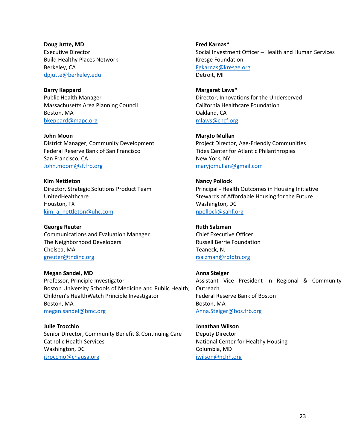**Doug Jutte, MD** Executive Director Build Healthy Places Network Berkeley, CA [dpjutte@berkeley.edu](mailto:dpjutte@berkeley.edu)

**Barry Keppard** Public Health Manager Massachusetts Area Planning Council Boston, MA [bkeppard@mapc.org](mailto:bkeppard@mapc.org)

**John Moon** District Manager, Community Development Federal Reserve Bank of San Francisco San Francisco, CA [John.moom@sf.frb.org](mailto:John.moom@sf.frb.org)

**Kim Nettleton** Director, Strategic Solutions Product Team UnitedHealthcare Houston, TX [kim\\_a\\_nettleton@uhc.com](mailto:kim_a_nettleton@uhc.com)

**George Reuter** Communications and Evaluation Manager The Neighborhood Developers Chelsea, MA [greuter@tndinc.org](mailto:greuter@tndinc.org)

**Megan Sandel, MD** Professor, Principle Investigator Boston University Schools of Medicine and Public Health; Children's HealthWatch Principle Investigator Boston, MA [megan.sandel@bmc.org](mailto:megan.sandel@bmc.org)

**Julie Trocchio** Senior Director, Community Benefit & Continuing Care Catholic Health Services Washington, DC [jtrocchio@chausa.org](mailto:jtrocchio@chausa.org)

**Fred Karnas\*** Social Investment Officer – Health and Human Services Kresge Foundation [Fgkarnas@kresge.org](mailto:Fgkarnas@kresge.org) Detroit, MI

**Margaret Laws\*** Director, Innovations for the Underserved California Healthcare Foundation Oakland, CA [mlaws@chcf.org](mailto:mlaws@chcf.org)

**MaryJo Mullan** Project Director, Age-Friendly Communities Tides Center for Atlantic Philanthropies New York, NY [maryjomullan@gmail.com](mailto:maryjomullan@gmail.com)

**Nancy Pollock** Principal - Health Outcomes in Housing Initiative Stewards of Affordable Housing for the Future Washington, DC [npollock@sahf.org](mailto:npollock@sahf.org)

**Ruth Salzman** Chief Executive Officer Russell Berrie Foundation Teaneck, NJ [rsalzman@rbfdtn.org](mailto:rsalzman@rbfdtn.org)

**Anna Steiger** Assistant Vice President in Regional & Community **Outreach** Federal Reserve Bank of Boston Boston, MA [Anna.Steiger@bos.frb.org](mailto:Anna.Steiger@bos.frb.org)

**Jonathan Wilson** Deputy Director National Center for Healthy Housing Columbia, MD [jwilson@nchh.org](mailto:jwilson@nchh.org)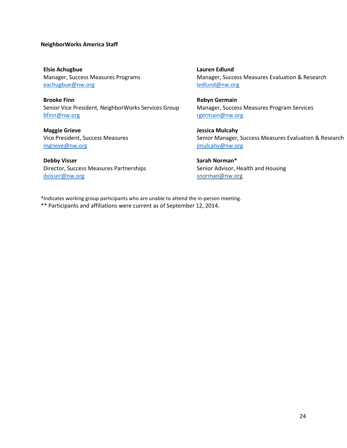#### **NeighborWorks America Staff**

**Elsie Achugbue** Manager, Success Measures Programs [eachugbue@nw.org](mailto:eachugbue@nw.org)

**Brooke Finn** Senior Vice President, NeighborWorks Services Group [bfinn@nw.org](mailto:bfinn@nw.org)

**Maggie Grieve** Vice President, Success Measures [mgrieve@nw.org](mailto:mgrieve@nw.org)

**Debby Visser** Director, Success Measures Partnerships [dvisser@nw.org](mailto:dvisser@nw.org)

**Lauren Edlund** Manager, Success Measures Evaluation & Research [ledlund@nw.org](mailto:ledlund@nw.org)

**Robyn Germain** Manager, Success Measures Program Services [rgermain@nw.org](mailto:rgermain@nw.org)

**Jessica Mulcahy** Senior Manager, Success Measures Evaluation & Research [jmulcahy@nw.org](mailto:jmulcahy@nw.org)

**Sarah Norman\*** Senior Advisor, Health and Housing snorman@nw.org

\*Indicates working group participants who are unable to attend the in-person meeting. \*\* Participants and affiliations were current as of September 12, 2014.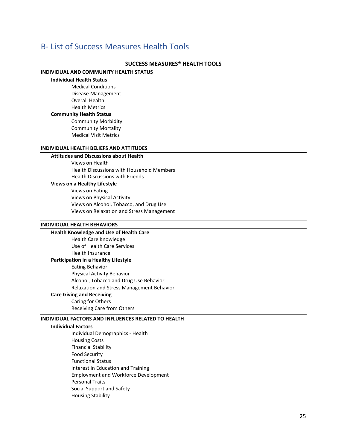## <span id="page-24-0"></span>B- List of Success Measures Health Tools

#### **SUCCESS MEASURES® HEALTH TOOLS**

#### **INDIVIDUAL AND COMMUNITY HEALTH STATUS**

**Individual Health Status**

Medical Conditions Disease Management Overall Health Health Metrics **Community Health Status**  Community Morbidity Community Mortality Medical Visit Metrics

#### **INDIVIDUAL HEALTH BELIEFS AND ATTITUDES**

### **Attitudes and Discussions about Health**

Views on Health Health Discussions with Household Members Health Discussions with Friends

#### **Views on a Healthy Lifestyle**

Views on Eating Views on Physical Activity Views on Alcohol, Tobacco, and Drug Use Views on Relaxation and Stress Management

#### **INDIVIDUAL HEALTH BEHAVIORS**

**Health Knowledge and Use of Health Care** Health Care Knowledge Use of Health Care Services Health Insurance **Participation in a Healthy Lifestyle** Eating Behavior Physical Activity Behavior Alcohol, Tobacco and Drug Use Behavior Relaxation and Stress Management Behavior **Care Giving and Receiving**

### Caring for Others

Receiving Care from Others

#### **INDIVIDUAL FACTORS AND INFLUENCES RELATED TO HEALTH**

#### **Individual Factors**

Individual Demographics - Health Housing Costs Financial Stability Food Security Functional Status Interest in Education and Training Employment and Workforce Development Personal Traits Social Support and Safety Housing Stability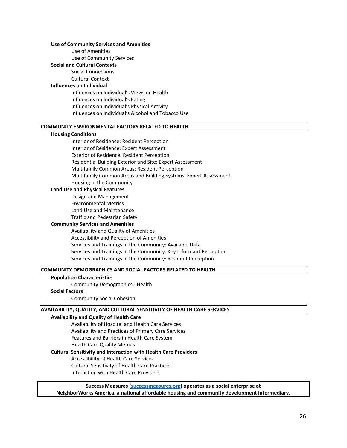#### **Use of Community Services and Amenities**

Use of Amenities Use of Community Services

#### **Social and Cultural Contexts**

Social Connections Cultural Context

#### **Influences on Individual**

Influences on Individual's Views on Health Influences on Individual's Eating Influences on Individual's Physical Activity Influences on Individual's Alcohol and Tobacco Use

#### **COMMUNITY ENVIRONMENTAL FACTORS RELATED TO HEALTH**

#### **Housing Conditions**

Interior of Residence: Resident Perception Interior of Residence: Expert Assessment Exterior of Residence: Resident Perception Residential Building Exterior and Site: Expert Assessment Multifamily Common Areas: Resident Perception Multifamily Common Areas and Building Systems: Expert Assessment Housing in the Community

#### **Land Use and Physical Features**

Design and Management Environmental Metrics Land Use and Maintenance Traffic and Pedestrian Safety

#### **Community Services and Amenities**

Availability and Quality of Amenities Accessibility and Perception of Amenities Services and Trainings in the Community: Available Data Services and Trainings in the Community: Key Informant Perception Services and Trainings in the Community: Resident Perception

#### **COMMUNITY DEMOGRAPHICS AND SOCIAL FACTORS RELATED TO HEALTH**

#### **Population Characteristics**

Community Demographics - Health

#### **Social Factors**

Community Social Cohesion

#### **AVAILABILITY, QUALITY, AND CULTURAL SENSITIVITY OF HEALTH CARE SERVICES**

#### **Availability and Quality of Health Care**

Availability of Hospital and Health Care Services Availability and Practices of Primary Care Services Features and Barriers in Health Care System Health Care Quality Metrics

### **Cultural Sensitivity and Interaction with Health Care Providers**

Accessibility of Health Care Services

Cultural Sensitivity of Health Care Practices

Interaction with Health Care Providers

**Success Measures [\(successmeasures.org\)](http://www.successmeasures.org/user) operates as a social enterprise at NeighborWorks America, a national affordable housing and community development intermediary.**